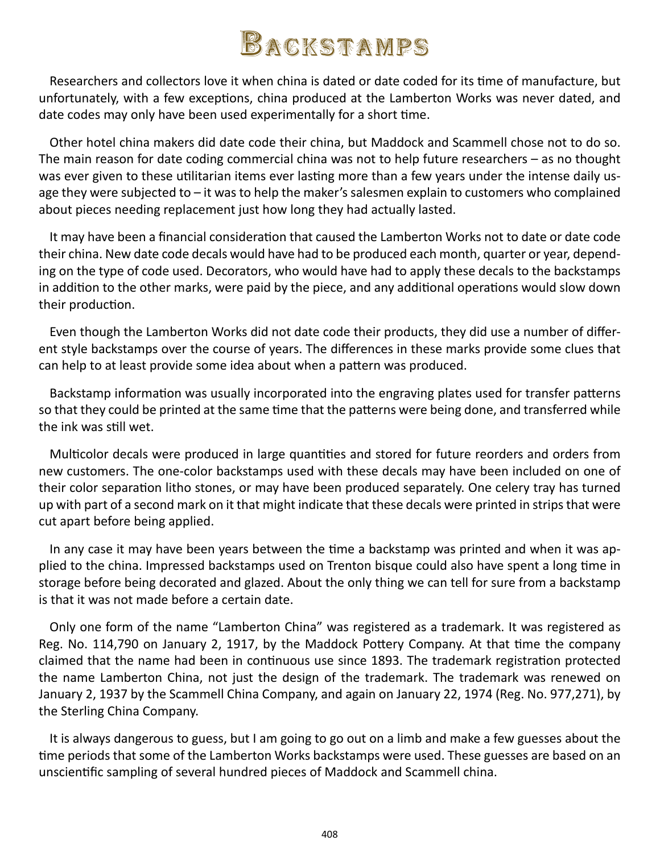## Backstamps

Researchers and collectors love it when china is dated or date coded for its time of manufacture, but unfortunately, with a few exceptions, china produced at the Lamberton Works was never dated, and date codes may only have been used experimentally for a short time.

Other hotel china makers did date code their china, but Maddock and Scammell chose not to do so. The main reason for date coding commercial china was not to help future researchers – as no thought was ever given to these utilitarian items ever lasting more than a few years under the intense daily usage they were subjected to – it was to help the maker's salesmen explain to customers who complained about pieces needing replacement just how long they had actually lasted.

It may have been a financial consideration that caused the Lamberton Works not to date or date code their china. New date code decals would have had to be produced each month, quarter or year, depending on the type of code used. Decorators, who would have had to apply these decals to the backstamps in addition to the other marks, were paid by the piece, and any additional operations would slow down their production.

Even though the Lamberton Works did not date code their products, they did use a number of different style backstamps over the course of years. The differences in these marks provide some clues that can help to at least provide some idea about when a pattern was produced.

Backstamp information was usually incorporated into the engraving plates used for transfer patterns so that they could be printed at the same time that the patterns were being done, and transferred while the ink was still wet.

Multicolor decals were produced in large quantities and stored for future reorders and orders from new customers. The one-color backstamps used with these decals may have been included on one of their color separation litho stones, or may have been produced separately. One celery tray has turned up with part of a second mark on it that might indicate that these decals were printed in strips that were cut apart before being applied.

In any case it may have been years between the time a backstamp was printed and when it was applied to the china. Impressed backstamps used on Trenton bisque could also have spent a long time in storage before being decorated and glazed. About the only thing we can tell for sure from a backstamp is that it was not made before a certain date.

Only one form of the name "Lamberton China" was registered as a trademark. It was registered as Reg. No. 114,790 on January 2, 1917, by the Maddock Pottery Company. At that time the company claimed that the name had been in continuous use since 1893. The trademark registration protected the name Lamberton China, not just the design of the trademark. The trademark was renewed on January 2, 1937 by the Scammell China Company, and again on January 22, 1974 (Reg. No. 977,271), by the Sterling China Company.

It is always dangerous to guess, but I am going to go out on a limb and make a few guesses about the time periods that some of the Lamberton Works backstamps were used. These guesses are based on an unscientific sampling of several hundred pieces of Maddock and Scammell china.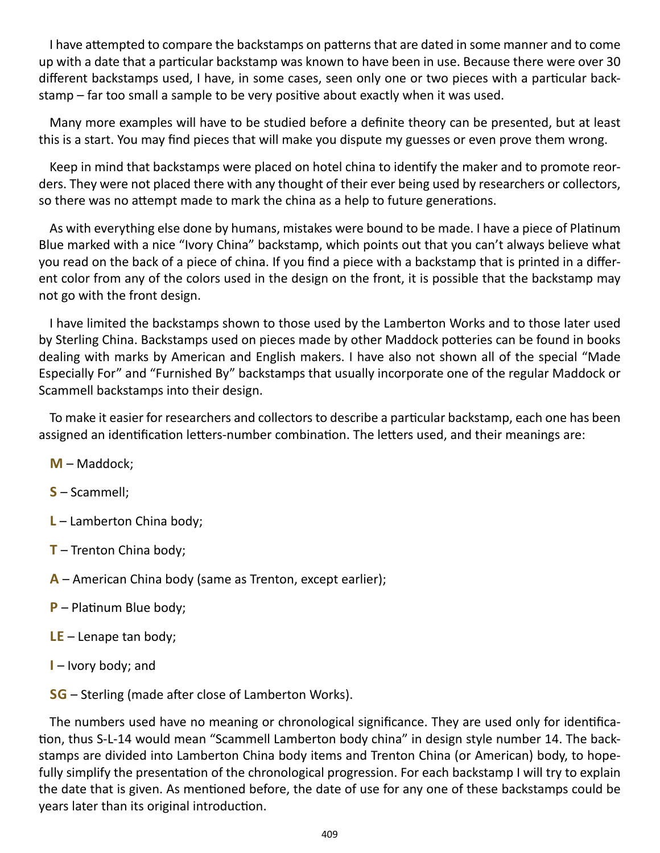I have attempted to compare the backstamps on patterns that are dated in some manner and to come up with a date that a particular backstamp was known to have been in use. Because there were over 30 different backstamps used, I have, in some cases, seen only one or two pieces with a particular backstamp – far too small a sample to be very positive about exactly when it was used.

Many more examples will have to be studied before a definite theory can be presented, but at least this is a start. You may find pieces that will make you dispute my guesses or even prove them wrong.

Keep in mind that backstamps were placed on hotel china to identify the maker and to promote reorders. They were not placed there with any thought of their ever being used by researchers or collectors, so there was no attempt made to mark the china as a help to future generations.

As with everything else done by humans, mistakes were bound to be made. I have a piece of Platinum Blue marked with a nice "Ivory China" backstamp, which points out that you can't always believe what you read on the back of a piece of china. If you find a piece with a backstamp that is printed in a different color from any of the colors used in the design on the front, it is possible that the backstamp may not go with the front design.

I have limited the backstamps shown to those used by the Lamberton Works and to those later used by Sterling China. Backstamps used on pieces made by other Maddock potteries can be found in books dealing with marks by American and English makers. I have also not shown all of the special "Made Especially For" and "Furnished By" backstamps that usually incorporate one of the regular Maddock or Scammell backstamps into their design.

To make it easier for researchers and collectors to describe a particular backstamp, each one has been assigned an identification letters-number combination. The letters used, and their meanings are:

- **M** Maddock;
- **S** Scammell;
- **L** Lamberton China body;
- **T** Trenton China body;
- **A** American China body (same as Trenton, except earlier);
- **P** Platinum Blue body;
- **LE** Lenape tan body;
- **I** Ivory body; and

**SG** – Sterling (made after close of Lamberton Works).

The numbers used have no meaning or chronological significance. They are used only for identification, thus S-L-14 would mean "Scammell Lamberton body china" in design style number 14. The backstamps are divided into Lamberton China body items and Trenton China (or American) body, to hopefully simplify the presentation of the chronological progression. For each backstamp I will try to explain the date that is given. As mentioned before, the date of use for any one of these backstamps could be years later than its original introduction.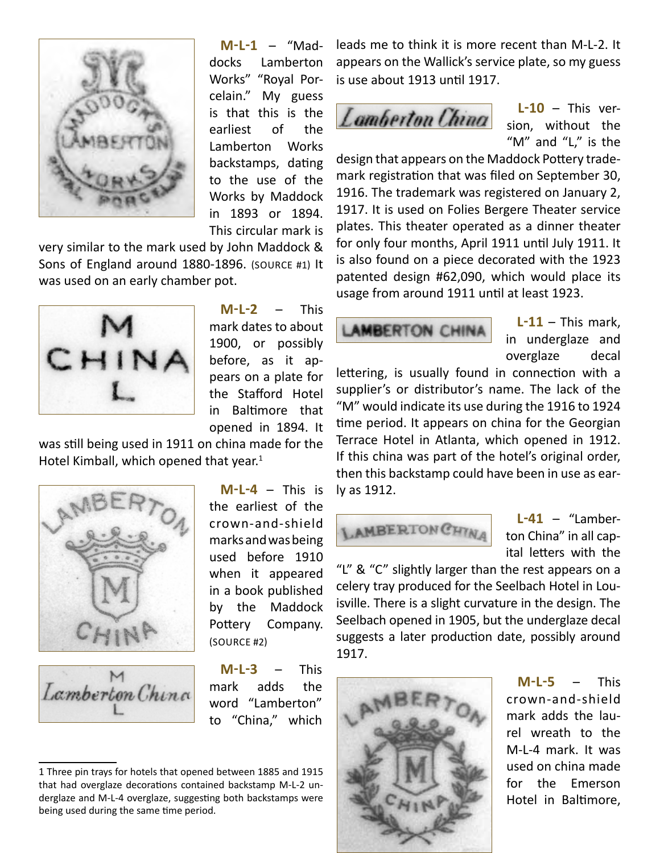

**M-L-1** – "Maddocks Lamberton Works" "Royal Porcelain." My guess is that this is the earliest of the Lamberton Works backstamps, dating to the use of the Works by Maddock in 1893 or 1894. This circular mark is

very similar to the mark used by John Maddock & Sons of England around 1880-1896. (source #1) It was used on an early chamber pot.



**M-L-2** – This mark dates to about 1900, or possibly before, as it appears on a plate for the Stafford Hotel in Baltimore that opened in 1894. It

was still being used in 1911 on china made for the Hotel Kimball, which opened that year. $1$ 





**M-L-4** – This is the earliest of the crown-and-shield marks and was being used before 1910 when it appeared in a book published by the Maddock Pottery Company. (source #2)

**M-L-3** – This mark adds the word "Lamberton" to "China," which

leads me to think it is more recent than M-L-2. It appears on the Wallick's service plate, so my guess is use about 1913 until 1917.

**L-10** – This version, without the "M" and "L," is the

design that appears on the Maddock Pottery trademark registration that was filed on September 30, 1916. The trademark was registered on January 2, 1917. It is used on Folies Bergere Theater service plates. This theater operated as a dinner theater for only four months, April 1911 until July 1911. It is also found on a piece decorated with the 1923 patented design #62,090, which would place its usage from around 1911 until at least 1923.

**AMBERTON CHINA** 

**L-11** – This mark, in underglaze and overglaze decal

lettering, is usually found in connection with a supplier's or distributor's name. The lack of the "M" would indicate its use during the 1916 to 1924 time period. It appears on china for the Georgian Terrace Hotel in Atlanta, which opened in 1912. If this china was part of the hotel's original order, then this backstamp could have been in use as early as 1912.



**L-41** – "Lamberton China" in all capital letters with the

"L" & "C" slightly larger than the rest appears on a celery tray produced for the Seelbach Hotel in Louisville. There is a slight curvature in the design. The Seelbach opened in 1905, but the underglaze decal suggests a later production date, possibly around 1917.



**M-L-5** – This crown-and-shield mark adds the laurel wreath to the M-L-4 mark. It was used on china made for the Emerson Hotel in Baltimore,

<sup>1</sup> Three pin trays for hotels that opened between 1885 and 1915 that had overglaze decorations contained backstamp M-L-2 underglaze and M-L-4 overglaze, suggesting both backstamps were being used during the same time period.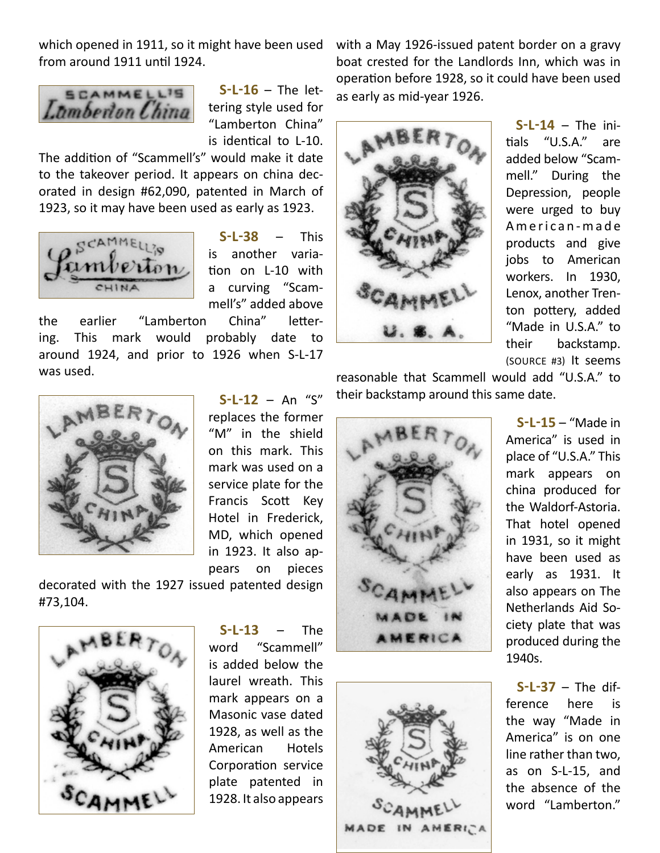which opened in 1911, so it might have been used from around 1911 until 1924.



**S-L-16** – The lettering style used for "Lamberton China" is identical to L-10.

The addition of "Scammell's" would make it date to the takeover period. It appears on china decorated in design #62,090, patented in March of 1923, so it may have been used as early as 1923.



**S-L-38** – This is another variation on L-10 with a curving "Scammell's" added above

the earlier "Lamberton China" lettering. This mark would probably date to around 1924, and prior to 1926 when S-L-17 was used.





**S-L-14** – The initials "U.S.A." are added below "Scammell." During the Depression, people were urged to buy American-made products and give jobs to American workers. In 1930, Lenox, another Trenton pottery, added "Made in U.S.A." to their backstamp. (source #3) It seems

reasonable that Scammell would add "U.S.A." to their backstamp around this same date.





**S-L-15** – "Made in America" is used in place of "U.S.A." This mark appears on china produced for the Waldorf-Astoria. That hotel opened in 1931, so it might have been used as early as 1931. It also appears on The Netherlands Aid Society plate that was produced during the 1940s.

**S-L-37** – The difference here is the way "Made in America" is on one line rather than two, as on S-L-15, and the absence of the word "Lamberton."



**S-L-12** – An "S" replaces the former "M" in the shield on this mark. This mark was used on a service plate for the Francis Scott Key Hotel in Frederick, MD, which opened in 1923. It also appears on pieces

decorated with the 1927 issued patented design #73,104.



**S-L-13** – The word "Scammell" is added below the laurel wreath. This mark appears on a Masonic vase dated 1928, as well as the American Hotels Corporation service plate patented in 1928. It also appears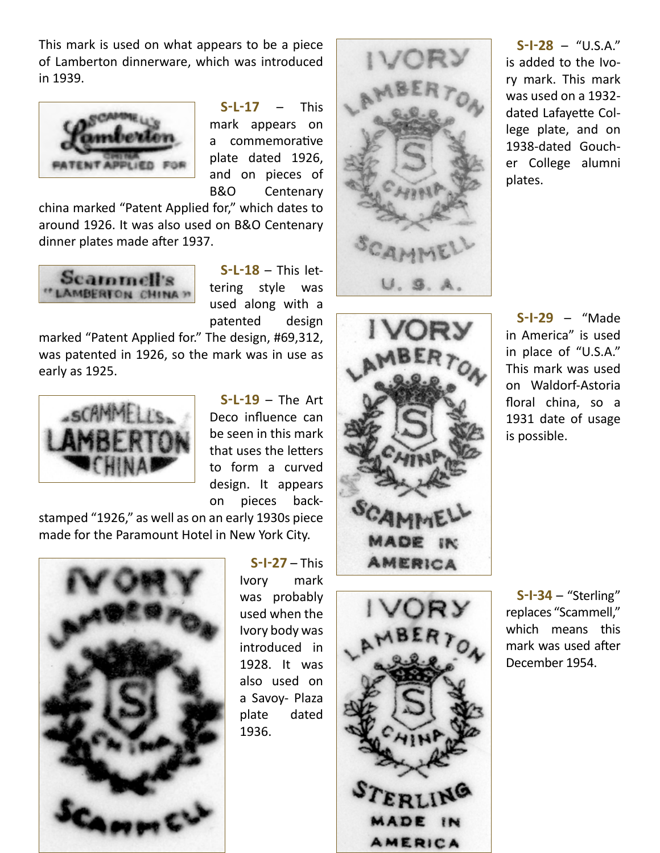This mark is used on what appears to be a piece of Lamberton dinnerware, which was introduced in 1939.



**S-L-17** – This mark appears on a commemorative plate dated 1926, and on pieces of B&O Centenary

china marked "Patent Applied for," which dates to around 1926. It was also used on B&O Centenary dinner plates made after 1937.



**S-L-18** – This lettering style was used along with a patented design

marked "Patent Applied for." The design, #69,312, was patented in 1926, so the mark was in use as early as 1925.



**S-L-19** – The Art Deco influence can be seen in this mark that uses the letters to form a curved design. It appears on pieces back-

stamped "1926," as well as on an early 1930s piece made for the Paramount Hotel in New York City.



**S-I-27** – This Ivory mark was probably used when the Ivory body was introduced in 1928. It was also used on a Savoy- Plaza plate dated 1936.







**S-I-28** – "U.S.A." is added to the Ivory mark. This mark was used on a 1932 dated Lafayette College plate, and on 1938-dated Goucher College alumni plates.

**S-I-29** – "Made in America" is used in place of "U.S.A." This mark was used on Waldorf-Astoria floral china, so a 1931 date of usage is possible.

**S-I-34** – "Sterling" replaces "Scammell," which means this mark was used after December 1954.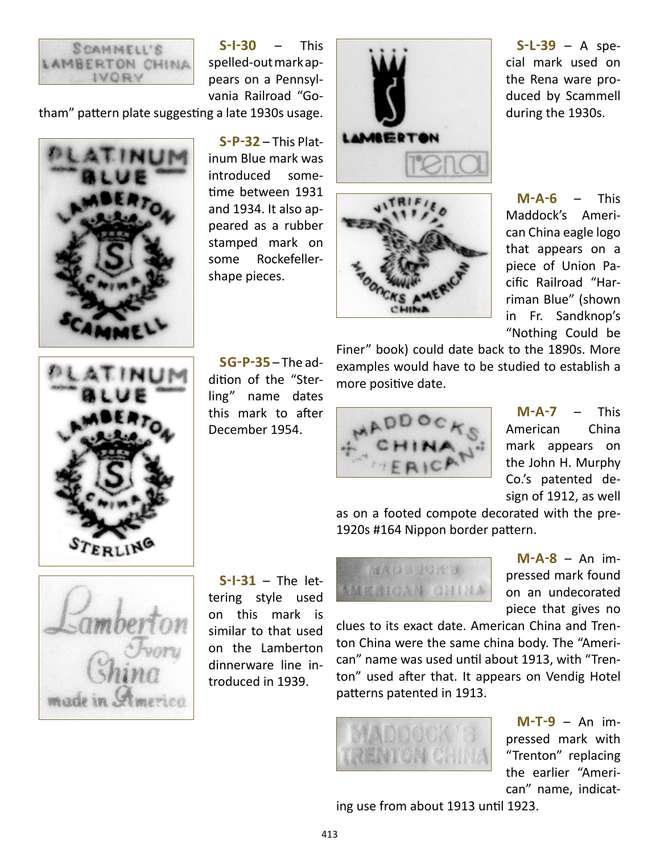

**S-I-30** – This spelled-out mark appears on a Pennsylvania Railroad "Go-

tham" pattern plate suggesting a late 1930s usage.

![](_page_5_Picture_3.jpeg)

**S-P-32** – This Platinum Blue mark was introduced sometime between 1931 and 1934. It also appeared as a rubber stamped mark on some Rockefellershape pieces.

![](_page_5_Picture_5.jpeg)

![](_page_5_Picture_6.jpeg)

**S-L-39** – A special mark used on the Rena ware produced by Scammell during the 1930s.

**M-A-6** – This Maddock's American China eagle logo that appears on a piece of Union Pacific Railroad "Harriman Blue" (shown in Fr. Sandknop's "Nothing Could be

![](_page_5_Picture_9.jpeg)

**SG-P-35** – The addition of the "Sterling" name dates this mark to after December 1954.

Finer" book) could date back to the 1890s. More examples would have to be studied to establish a more positive date.

![](_page_5_Picture_12.jpeg)

**M-A-7** – This American China mark appears on the John H. Murphy Co.'s patented design of 1912, as well

as on a footed compote decorated with the pre-1920s #164 Nippon border pattern.

![](_page_5_Picture_15.jpeg)

**S-I-31** – The lettering style used on this mark is similar to that used on the Lamberton dinnerware line introduced in 1939.

**MADDUCK'S MERICAN CHINA** 

**M-A-8** – An impressed mark found on an undecorated piece that gives no

clues to its exact date. American China and Trenton China were the same china body. The "American" name was used until about 1913, with "Trenton" used after that. It appears on Vendig Hotel patterns patented in 1913.

**M-T-9** – An impressed mark with "Trenton" replacing the earlier "American" name, indicat-

ing use from about 1913 until 1923.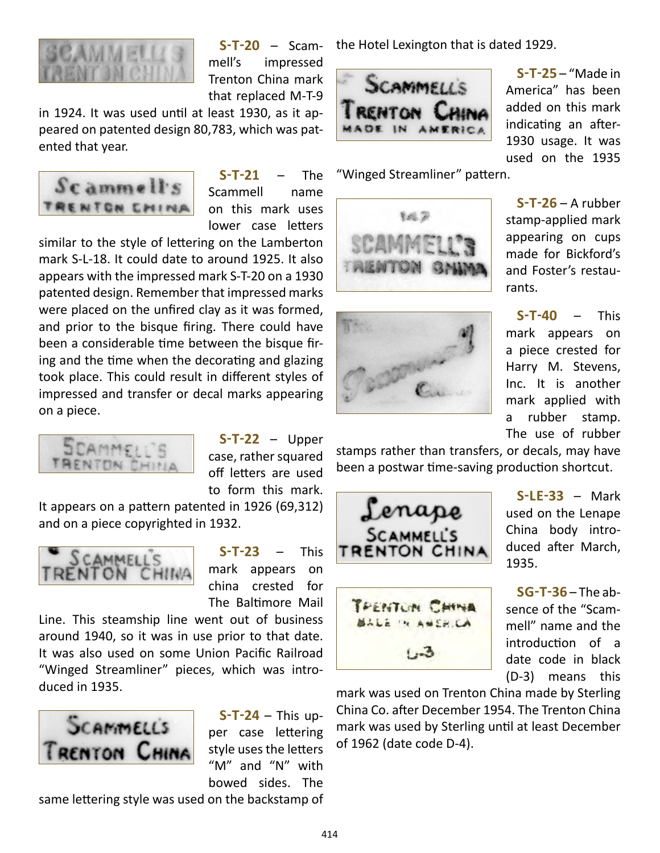![](_page_6_Picture_0.jpeg)

**S-T-20** – Scammell's impressed Trenton China mark that replaced M-T-9

in 1924. It was used until at least 1930, as it appeared on patented design 80,783, which was patented that year.

![](_page_6_Picture_3.jpeg)

**S-T-21** – The Scammell name on this mark uses lower case letters

similar to the style of lettering on the Lamberton mark S-L-18. It could date to around 1925. It also appears with the impressed mark S-T-20 on a 1930 patented design. Remember that impressed marks were placed on the unfired clay as it was formed, and prior to the bisque firing. There could have been a considerable time between the bisque firing and the time when the decorating and glazing took place. This could result in different styles of impressed and transfer or decal marks appearing on a piece.

![](_page_6_Picture_6.jpeg)

**S-T-22** – Upper case, rather squared off letters are used to form this mark.

It appears on a pattern patented in 1926 (69,312) and on a piece copyrighted in 1932.

![](_page_6_Picture_9.jpeg)

**S-T-23** – This mark appears on china crested for The Baltimore Mail

Line. This steamship line went out of business around 1940, so it was in use prior to that date. It was also used on some Union Pacific Railroad "Winged Streamliner" pieces, which was introduced in 1935.

![](_page_6_Picture_12.jpeg)

**S-T-24** – This upper case lettering style uses the letters "M" and "N" with bowed sides. The

same lettering style was used on the backstamp of

the Hotel Lexington that is dated 1929.

![](_page_6_Picture_16.jpeg)

"Winged Streamliner" pattern.

![](_page_6_Picture_18.jpeg)

![](_page_6_Picture_19.jpeg)

**S-T-25** – "Made in America" has been added on this mark indicating an after-1930 usage. It was used on the 1935

**S-T-26** – A rubber stamp-applied mark appearing on cups made for Bickford's and Foster's restaurants.

**S-T-40** – This mark appears on a piece crested for Harry M. Stevens, Inc. It is another mark applied with a rubber stamp. The use of rubber

stamps rather than transfers, or decals, may have been a postwar time-saving production shortcut.

![](_page_6_Picture_24.jpeg)

![](_page_6_Picture_25.jpeg)

**S-LE-33** – Mark used on the Lenape China body introduced after March, 1935.

**SG-T-36** – The absence of the "Scammell" name and the introduction of a date code in black (D-3) means this

mark was used on Trenton China made by Sterling China Co. after December 1954. The Trenton China mark was used by Sterling until at least December of 1962 (date code D-4).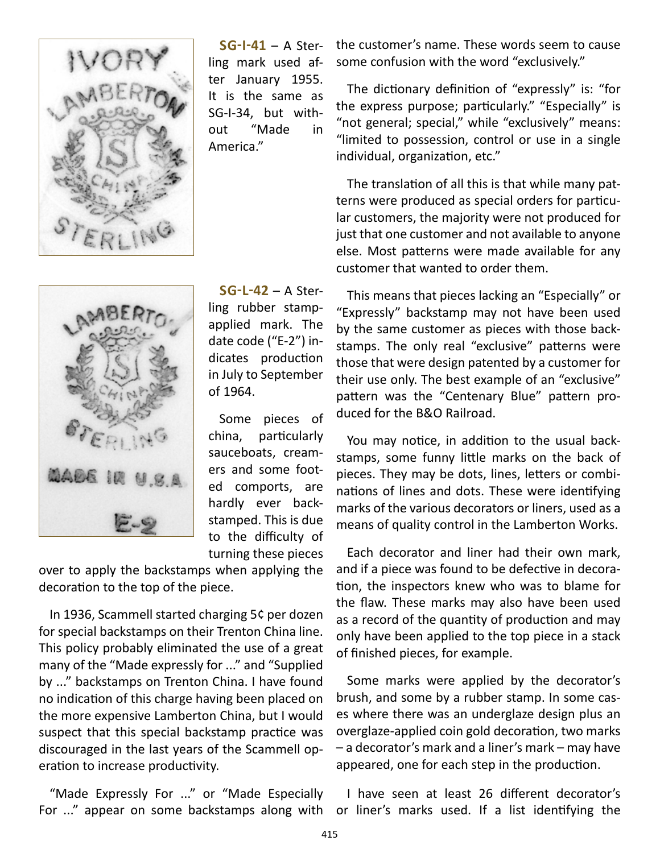![](_page_7_Picture_0.jpeg)

**SG-I-41** – A Sterling mark used after January 1955. It is the same as SG-I-34, but without "Made in America."

![](_page_7_Picture_2.jpeg)

**SG-L-42** – A Sterling rubber stampapplied mark. The date code ("E-2") indicates production in July to September of 1964.

Some pieces of china, particularly sauceboats, creamers and some footed comports, are hardly ever backstamped. This is due to the difficulty of turning these pieces

over to apply the backstamps when applying the decoration to the top of the piece.

In 1936, Scammell started charging 5¢ per dozen for special backstamps on their Trenton China line. This policy probably eliminated the use of a great many of the "Made expressly for ..." and "Supplied by ..." backstamps on Trenton China. I have found no indication of this charge having been placed on the more expensive Lamberton China, but I would suspect that this special backstamp practice was discouraged in the last years of the Scammell operation to increase productivity.

"Made Expressly For ..." or "Made Especially For ..." appear on some backstamps along with or liner's marks used. If a list identifying the

the customer's name. These words seem to cause some confusion with the word "exclusively."

The dictionary definition of "expressly" is: "for the express purpose; particularly." "Especially" is "not general; special," while "exclusively" means: "limited to possession, control or use in a single individual, organization, etc."

The translation of all this is that while many patterns were produced as special orders for particular customers, the majority were not produced for just that one customer and not available to anyone else. Most patterns were made available for any customer that wanted to order them.

This means that pieces lacking an "Especially" or "Expressly" backstamp may not have been used by the same customer as pieces with those backstamps. The only real "exclusive" patterns were those that were design patented by a customer for their use only. The best example of an "exclusive" pattern was the "Centenary Blue" pattern produced for the B&O Railroad.

You may notice, in addition to the usual backstamps, some funny little marks on the back of pieces. They may be dots, lines, letters or combinations of lines and dots. These were identifying marks of the various decorators or liners, used as a means of quality control in the Lamberton Works.

Each decorator and liner had their own mark, and if a piece was found to be defective in decoration, the inspectors knew who was to blame for the flaw. These marks may also have been used as a record of the quantity of production and may only have been applied to the top piece in a stack of finished pieces, for example.

Some marks were applied by the decorator's brush, and some by a rubber stamp. In some cases where there was an underglaze design plus an overglaze-applied coin gold decoration, two marks – a decorator's mark and a liner's mark – may have appeared, one for each step in the production.

I have seen at least 26 different decorator's